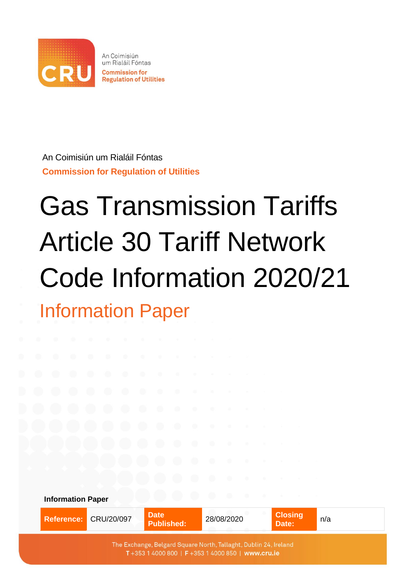

An Coimisiún um Rialáil Fóntas **Commission for Regulation of Utilities**

# Gas Transmission Tariffs Article 30 Tariff Network Code Information 2020/21 Information Paper

| <b>Information Paper</b> |            | <b>Contract Contract Contract</b><br>9. P | <b>TANK AND REAL</b><br><b>All Parties</b> |                         |     |  |  |
|--------------------------|------------|-------------------------------------------|--------------------------------------------|-------------------------|-----|--|--|
| <b>Reference:</b>        | CRU/20/097 | <b>Date</b><br><b>Published:</b>          | 28/08/2020<br><b>ATTN</b>                  | <b>Closing</b><br>Date: | n/a |  |  |
|                          |            |                                           |                                            |                         |     |  |  |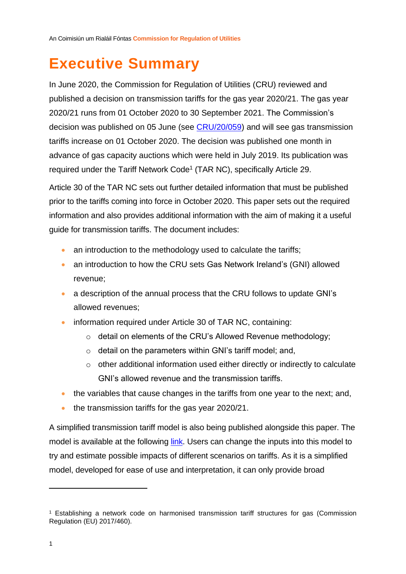## <span id="page-1-0"></span>**Executive Summary**

In June 2020, the Commission for Regulation of Utilities (CRU) reviewed and published a decision on transmission tariffs for the gas year 2020/21. The gas year 2020/21 runs from 01 October 2020 to 30 September 2021. The Commission's decision was published on 05 June (see [CRU/20/059\)](https://www.gasnetworks.ie/corporate/gas-regulation/tariffs/transmission-tariffs/200525-Gas-transmission-tariffs-2021-decision-paper.pdf) and will see gas transmission tariffs increase on 01 October 2020. The decision was published one month in advance of gas capacity auctions which were held in July 2019. Its publication was required under the Tariff Network Code<sup>1</sup> (TAR NC), specifically Article 29.

<span id="page-1-1"></span>Article 30 of the TAR NC sets out further detailed information that must be published prior to the tariffs coming into force in October 2020. This paper sets out the required information and also provides additional information with the aim of making it a useful guide for transmission tariffs. The document includes:

- an introduction to the methodology used to calculate the tariffs;
- an introduction to how the CRU sets Gas Network Ireland's (GNI) allowed revenue;
- a description of the annual process that the CRU follows to update GNI's allowed revenues;
- information required under Article 30 of TAR NC, containing:
	- o detail on elements of the CRU's Allowed Revenue methodology;
	- o detail on the parameters within GNI's tariff model; and,
	- o other additional information used either directly or indirectly to calculate GNI's allowed revenue and the transmission tariffs.
- the variables that cause changes in the tariffs from one year to the next; and,
- the transmission tariffs for the gas year 2020/21.

A simplified transmission tariff model is also being published alongside this paper. The model is available at the following [link.](https://www.gasnetworks.ie/corporate/gas-regulation/tariffs/transmission-tariffs/simplified-tariff-model/) Users can change the inputs into this model to try and estimate possible impacts of different scenarios on tariffs. As it is a simplified model, developed for ease of use and interpretation, it can only provide broad

<sup>1</sup> Establishing a network code on harmonised transmission tariff structures for gas (Commission Regulation (EU) 2017/460).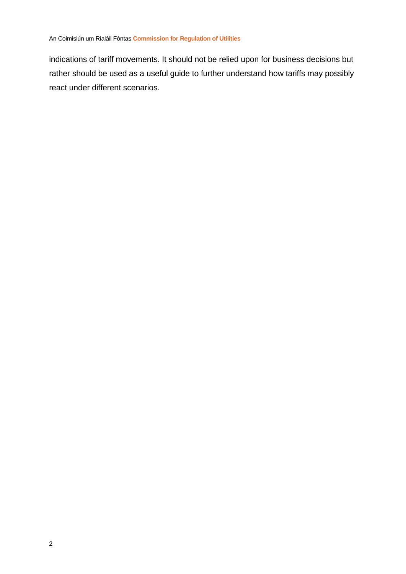indications of tariff movements. It should not be relied upon for business decisions but rather should be used as a useful guide to further understand how tariffs may possibly react under different scenarios.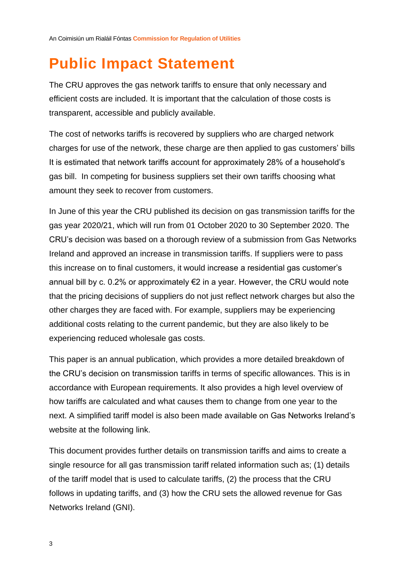## <span id="page-3-0"></span>**Public Impact Statement**

The CRU approves the gas network tariffs to ensure that only necessary and efficient costs are included. It is important that the calculation of those costs is transparent, accessible and publicly available.

The cost of networks tariffs is recovered by suppliers who are charged network charges for use of the network, these charge are then applied to gas customers' bills It is estimated that network tariffs account for approximately 28% of a household's gas bill. In competing for business suppliers set their own tariffs choosing what amount they seek to recover from customers.

In June of this year the CRU published its decision on gas transmission tariffs for the gas year 2020/21, which will run from 01 October 2020 to 30 September 2020. The CRU's decision was based on a thorough review of a submission from Gas Networks Ireland and approved an increase in transmission tariffs. If suppliers were to pass this increase on to final customers, it would increase a residential gas customer's annual bill by c. 0.2% or approximately €2 in a year. However, the CRU would note that the pricing decisions of suppliers do not just reflect network charges but also the other charges they are faced with. For example, suppliers may be experiencing additional costs relating to the current pandemic, but they are also likely to be experiencing reduced wholesale gas costs.

This paper is an annual publication, which provides a more detailed breakdown of the CRU's decision on transmission tariffs in terms of specific allowances. This is in accordance with European requirements. It also provides a high level overview of how tariffs are calculated and what causes them to change from one year to the next. A simplified tariff model is also been made available on Gas Networks Ireland's website at the following [link.](https://www.gasnetworks.ie/corporate/gas-regulation/tariffs/transmission-tariffs/simplified-tariff-model/)

This document provides further details on transmission tariffs and aims to create a single resource for all gas transmission tariff related information such as; (1) details of the tariff model that is used to calculate tariffs, (2) the process that the CRU follows in updating tariffs, and (3) how the CRU sets the allowed revenue for Gas Networks Ireland (GNI).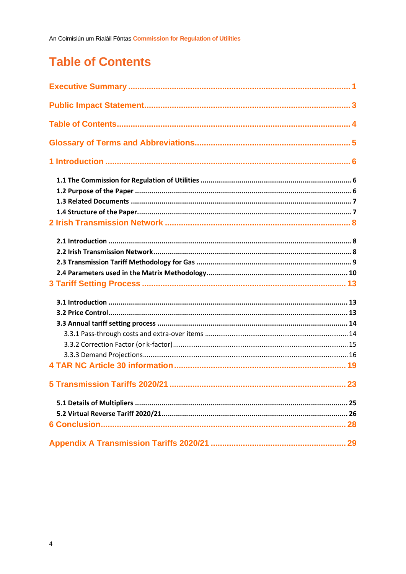## <span id="page-4-0"></span>**Table of Contents**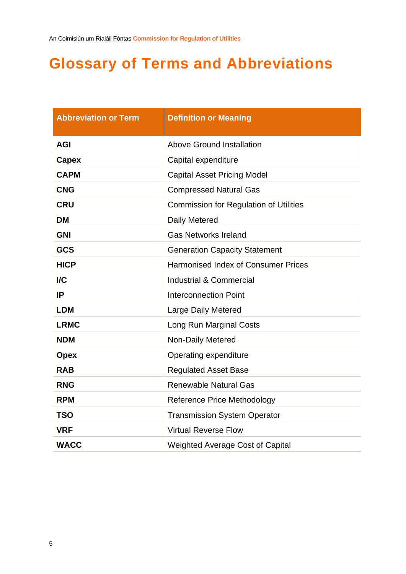## <span id="page-5-0"></span>**Glossary of Terms and Abbreviations**

| <b>Abbreviation or Term</b> | <b>Definition or Meaning</b>                  |
|-----------------------------|-----------------------------------------------|
| <b>AGI</b>                  | Above Ground Installation                     |
| Capex                       | Capital expenditure                           |
| <b>CAPM</b>                 | <b>Capital Asset Pricing Model</b>            |
| <b>CNG</b>                  | <b>Compressed Natural Gas</b>                 |
| <b>CRU</b>                  | <b>Commission for Regulation of Utilities</b> |
| <b>DM</b>                   | Daily Metered                                 |
| <b>GNI</b>                  | <b>Gas Networks Ireland</b>                   |
| <b>GCS</b>                  | <b>Generation Capacity Statement</b>          |
| <b>HICP</b>                 | <b>Harmonised Index of Consumer Prices</b>    |
| $\overline{IC}$             | <b>Industrial &amp; Commercial</b>            |
| IP                          | <b>Interconnection Point</b>                  |
| <b>LDM</b>                  | <b>Large Daily Metered</b>                    |
| <b>LRMC</b>                 | Long Run Marginal Costs                       |
| <b>NDM</b>                  | Non-Daily Metered                             |
| <b>Opex</b>                 | Operating expenditure                         |
| <b>RAB</b>                  | <b>Regulated Asset Base</b>                   |
| <b>RNG</b>                  | <b>Renewable Natural Gas</b>                  |
| <b>RPM</b>                  | <b>Reference Price Methodology</b>            |
| <b>TSO</b>                  | <b>Transmission System Operator</b>           |
| <b>VRF</b>                  | <b>Virtual Reverse Flow</b>                   |
| <b>WACC</b>                 | <b>Weighted Average Cost of Capital</b>       |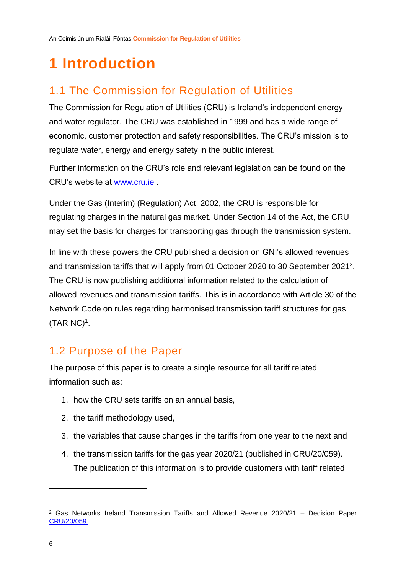## <span id="page-6-0"></span>**1 Introduction**

### <span id="page-6-1"></span>1.1 The Commission for Regulation of Utilities

The Commission for Regulation of Utilities (CRU) is Ireland's independent energy and water regulator. The CRU was established in 1999 and has a wide range of economic, customer protection and safety responsibilities. The CRU's mission is to regulate water, energy and energy safety in the public interest.

Further information on the CRU's role and relevant legislation can be found on the CRU's website at [www.cru.ie](http://www.cru.ie/) .

Under the Gas (Interim) (Regulation) Act, 2002, the CRU is responsible for regulating charges in the natural gas market. Under Section 14 of the Act, the CRU may set the basis for charges for transporting gas through the transmission system.

In line with these powers the CRU published a decision on GNI's allowed revenues and transmission tariffs that will apply from 01 October 2020 to 30 September 2021 2 . The CRU is now publishing additional information related to the calculation of allowed revenues and transmission tariffs. This is in accordance with Article 30 of the Network Code on rules regarding harmonised transmission tariff structures for gas (TAR NC)[1](#page-1-1) .

### <span id="page-6-2"></span>1.2 Purpose of the Paper

The purpose of this paper is to create a single resource for all tariff related information such as:

- 1. how the CRU sets tariffs on an annual basis,
- 2. the tariff methodology used,
- 3. the variables that cause changes in the tariffs from one year to the next and
- 4. the transmission tariffs for the gas year 2020/21 (published in CRU/20/059). The publication of this information is to provide customers with tariff related

 $2$  Gas Networks Ireland Transmission Tariffs and Allowed Revenue 2020/21 – Decision Paper [CRU/20/059 .](https://www.cru.ie/document_group/copy-of-gas-networks-ireland-allowed-revenues-and-gas-transmission-tariffs/)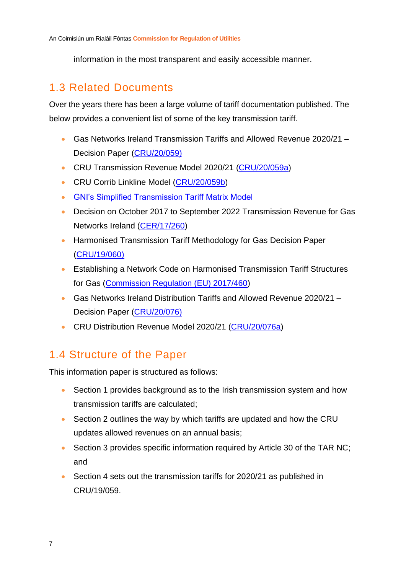information in the most transparent and easily accessible manner.

### <span id="page-7-0"></span>1.3 Related Documents

Over the years there has been a large volume of tariff documentation published. The below provides a convenient list of some of the key transmission tariff.

- Gas Networks Ireland Transmission Tariffs and Allowed Revenue 2020/21 Decision Paper [\(CRU/20/059\)](https://www.cru.ie/document_group/copy-of-gas-networks-ireland-allowed-revenues-and-gas-transmission-tariffs/)
- CRU Transmission Revenue Model 2020/21 [\(CRU/20/059a\)](https://www.cru.ie/document_group/copy-of-gas-networks-ireland-allowed-revenues-and-gas-transmission-tariffs/)
- CRU Corrib Linkline Model [\(CRU/20/059b\)](https://www.cru.ie/document_group/copy-of-gas-networks-ireland-allowed-revenues-and-gas-transmission-tariffs/)
- [GNI's Simplified Transmission Tariff Matrix Model](https://www.gasnetworks.ie/corporate/gas-regulation/tariffs/transmission-tariffs/simplified-tariff-model/)
- Decision on October 2017 to September 2022 Transmission Revenue for Gas Networks Ireland [\(CER/17/260\)](https://www.cru.ie/wp-content/uploads/2017/06/CER17260-PC4-CER-Transmission-Decision-Paper.pdf)
- Harmonised Transmission Tariff Methodology for Gas Decision Paper [\(CRU/19/060\)](https://www.cru.ie/wp-content/uploads/2019/06/CRU19060-Harmonised-Transmission-Tariff-Methodology-for-Gas-Decision-Paper.pdf)
- Establishing a Network Code on Harmonised Transmission Tariff Structures for Gas [\(Commission Regulation \(EU\) 2017/460\)](https://eur-lex.europa.eu/legal-content/EN/TXT/PDF/?uri=CELEX:32017R0460&from=EN)
- Gas Networks Ireland Distribution Tariffs and Allowed Revenue 2020/21 Decision Paper [\(CRU/20/076\)](https://www.cru.ie/document_group/copy-of-gas-networks-ireland-allowed-revenues-and-gas-transmission-tariffs/)
- CRU Distribution Revenue Model 2020/21 [\(CRU/20/076a\)](https://www.cru.ie/document_group/copy-of-gas-networks-ireland-allowed-revenues-and-gas-transmission-tariffs/)

### <span id="page-7-1"></span>1.4 Structure of the Paper

This information paper is structured as follows:

- Section 1 provides background as to the Irish transmission system and how transmission tariffs are calculated;
- Section 2 outlines the way by which tariffs are updated and how the CRU updates allowed revenues on an annual basis;
- Section 3 provides specific information required by Article 30 of the TAR NC; and
- Section 4 sets out the transmission tariffs for 2020/21 as published in CRU/19/059.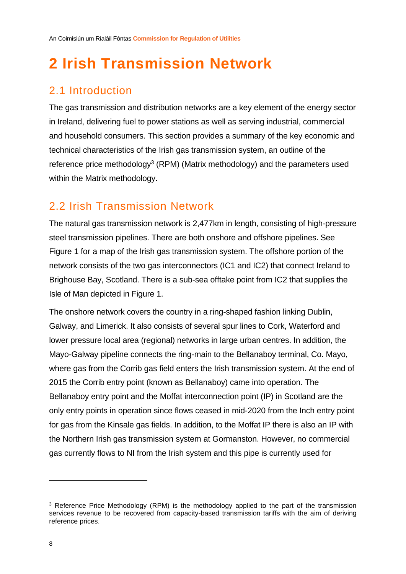## <span id="page-8-0"></span>**2 Irish Transmission Network**

### <span id="page-8-1"></span>2.1 Introduction

The gas transmission and distribution networks are a key element of the energy sector in Ireland, delivering fuel to power stations as well as serving industrial, commercial and household consumers. This section provides a summary of the key economic and technical characteristics of the Irish gas transmission system, an outline of the reference price methodology<sup>3</sup> (RPM) (Matrix methodology) and the parameters used within the Matrix methodology.

### <span id="page-8-2"></span>2.2 Irish Transmission Network

The natural gas transmission network is 2,477km in length, consisting of high-pressure steel transmission pipelines. There are both onshore and offshore pipelines. See [Figure 1](#page-9-1) for a map of the Irish gas transmission system. The offshore portion of the network consists of the two gas interconnectors (IC1 and IC2) that connect Ireland to Brighouse Bay, Scotland. There is a sub-sea offtake point from IC2 that supplies the Isle of Man depicted in [Figure 1.](#page-9-1)

The onshore network covers the country in a ring-shaped fashion linking Dublin, Galway, and Limerick. It also consists of several spur lines to Cork, Waterford and lower pressure local area (regional) networks in large urban centres. In addition, the Mayo-Galway pipeline connects the ring-main to the Bellanaboy terminal, Co. Mayo, where gas from the Corrib gas field enters the Irish transmission system. At the end of 2015 the Corrib entry point (known as Bellanaboy) came into operation. The Bellanaboy entry point and the Moffat interconnection point (IP) in Scotland are the only entry points in operation since flows ceased in mid-2020 from the Inch entry point for gas from the Kinsale gas fields. In addition, to the Moffat IP there is also an IP with the Northern Irish gas transmission system at Gormanston. However, no commercial gas currently flows to NI from the Irish system and this pipe is currently used for

<sup>&</sup>lt;sup>3</sup> Reference Price Methodology (RPM) is the methodology applied to the part of the transmission services revenue to be recovered from capacity-based transmission tariffs with the aim of deriving reference prices.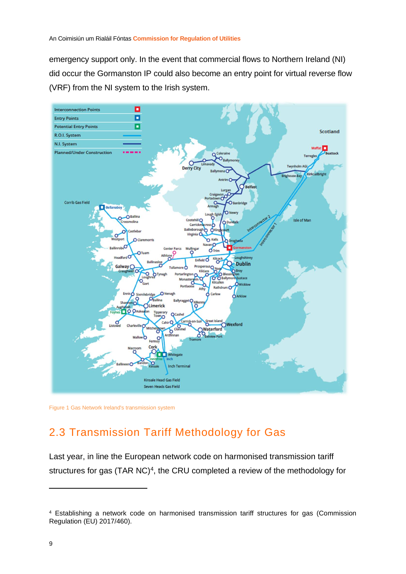emergency support only. In the event that commercial flows to Northern Ireland (NI) did occur the Gormanston IP could also become an entry point for virtual reverse flow (VRF) from the NI system to the Irish system.



<span id="page-9-1"></span><span id="page-9-0"></span>Figure 1 Gas Network Ireland's transmission system

### 2.3 Transmission Tariff Methodology for Gas

Last year, in line the European network code on harmonised transmission tariff structures for gas  $(TAR NC)<sup>4</sup>$ , the CRU completed a review of the methodology for

<sup>4</sup> Establishing a network code on harmonised transmission tariff structures for gas (Commission Regulation (EU) 2017/460).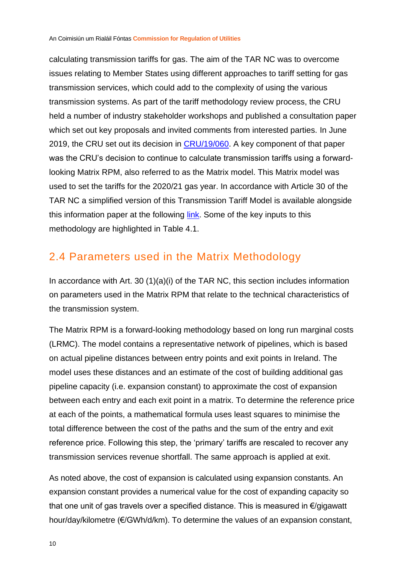<span id="page-10-1"></span>calculating transmission tariffs for gas. The aim of the TAR NC was to overcome issues relating to Member States using different approaches to tariff setting for gas transmission services, which could add to the complexity of using the various transmission systems. As part of the tariff methodology review process, the CRU held a number of industry stakeholder workshops and published a consultation paper which set out key proposals and invited comments from interested parties. In June 2019, the CRU set out its decision in [CRU/19/060.](https://www.cru.ie/wp-content/uploads/2019/06/CRU19060-Harmonised-Transmission-Tariff-Methodology-for-Gas-Decision-Paper.pdf) A key component of that paper was the CRU's decision to continue to calculate transmission tariffs using a forwardlooking Matrix RPM, also referred to as the Matrix model. This Matrix model was used to set the tariffs for the 2020/21 gas year. In accordance with Article 30 of the TAR NC a simplified version of this Transmission Tariff Model is available alongside this information paper at the following [link.](https://www.gasnetworks.ie/corporate/gas-regulation/tariffs/transmission-tariffs/simplified-tariff-model/) Some of the key inputs to this methodology are highlighted in [Table 4.1.](#page-20-0)

#### <span id="page-10-0"></span>2.4 Parameters used in the Matrix Methodology

In accordance with Art. 30 (1)(a)(i) of the TAR NC, this section includes information on parameters used in the Matrix RPM that relate to the technical characteristics of the transmission system.

The Matrix RPM is a forward-looking methodology based on long run marginal costs (LRMC). The model contains a representative network of pipelines, which is based on actual pipeline distances between entry points and exit points in Ireland. The model uses these distances and an estimate of the cost of building additional gas pipeline capacity (i.e. expansion constant) to approximate the cost of expansion between each entry and each exit point in a matrix. To determine the reference price at each of the points, a mathematical formula uses least squares to minimise the total difference between the cost of the paths and the sum of the entry and exit reference price. Following this step, the 'primary' tariffs are rescaled to recover any transmission services revenue shortfall. The same approach is applied at exit.

As noted above, the cost of expansion is calculated using expansion constants. An expansion constant provides a numerical value for the cost of expanding capacity so that one unit of gas travels over a specified distance. This is measured in €/gigawatt hour/day/kilometre (€/GWh/d/km). To determine the values of an expansion constant,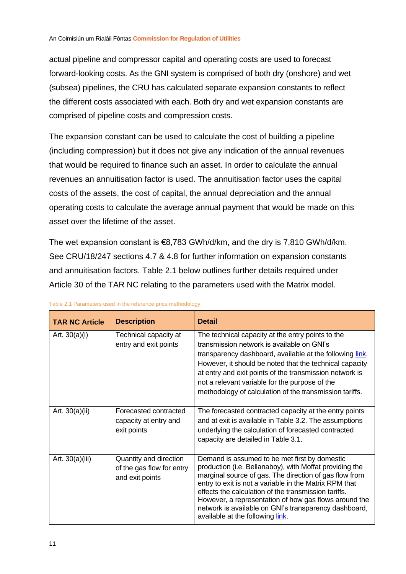actual pipeline and compressor capital and operating costs are used to forecast forward-looking costs. As the GNI system is comprised of both dry (onshore) and wet (subsea) pipelines, the CRU has calculated separate expansion constants to reflect the different costs associated with each. Both dry and wet expansion constants are comprised of pipeline costs and compression costs.

The expansion constant can be used to calculate the cost of building a pipeline (including compression) but it does not give any indication of the annual revenues that would be required to finance such an asset. In order to calculate the annual revenues an annuitisation factor is used. The annuitisation factor uses the capital costs of the assets, the cost of capital, the annual depreciation and the annual operating costs to calculate the average annual payment that would be made on this asset over the lifetime of the asset.

The wet expansion constant is €8,783 GWh/d/km, and the dry is 7,810 GWh/d/km. See CRU/18/247 sections 4.7 & 4.8 for further information on expansion constants and annuitisation factors. [Table 2.1](#page-11-0) below outlines further details required under Article 30 of the TAR NC relating to the parameters used with the Matrix model.

| <b>TAR NC Article</b> | <b>Description</b>                                                     | <b>Detail</b>                                                                                                                                                                                                                                                                                                                                                                                                                              |
|-----------------------|------------------------------------------------------------------------|--------------------------------------------------------------------------------------------------------------------------------------------------------------------------------------------------------------------------------------------------------------------------------------------------------------------------------------------------------------------------------------------------------------------------------------------|
| Art. $30(a)(i)$       | Technical capacity at<br>entry and exit points                         | The technical capacity at the entry points to the<br>transmission network is available on GNI's<br>transparency dashboard, available at the following link.<br>However, it should be noted that the technical capacity<br>at entry and exit points of the transmission network is<br>not a relevant variable for the purpose of the<br>methodology of calculation of the transmission tariffs.                                             |
| Art. $30(a)(ii)$      | Forecasted contracted<br>capacity at entry and<br>exit points          | The forecasted contracted capacity at the entry points<br>and at exit is available in Table 3.2. The assumptions<br>underlying the calculation of forecasted contracted<br>capacity are detailed in Table 3.1.                                                                                                                                                                                                                             |
| Art. 30(a)(iii)       | Quantity and direction<br>of the gas flow for entry<br>and exit points | Demand is assumed to be met first by domestic<br>production (i.e. Bellanaboy), with Moffat providing the<br>marginal source of gas. The direction of gas flow from<br>entry to exit is not a variable in the Matrix RPM that<br>effects the calculation of the transmission tariffs.<br>However, a representation of how gas flows around the<br>network is available on GNI's transparency dashboard,<br>available at the following link. |

<span id="page-11-0"></span>

| Table 2.1 Parameters used in the reference price methodology |  |  |  |  |  |
|--------------------------------------------------------------|--|--|--|--|--|
|--------------------------------------------------------------|--|--|--|--|--|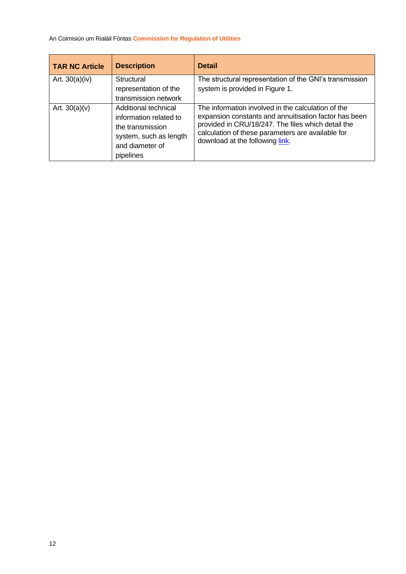| <b>TAR NC Article</b> | <b>Description</b>                                                                                                           | <b>Detail</b>                                                                                                                                                                                                                                             |
|-----------------------|------------------------------------------------------------------------------------------------------------------------------|-----------------------------------------------------------------------------------------------------------------------------------------------------------------------------------------------------------------------------------------------------------|
| Art. $30(a)(iv)$      | <b>Structural</b><br>representation of the<br>transmission network                                                           | The structural representation of the GNI's transmission<br>system is provided in Figure 1.                                                                                                                                                                |
| Art. $30(a)(v)$       | Additional technical<br>information related to<br>the transmission<br>system, such as length<br>and diameter of<br>pipelines | The information involved in the calculation of the<br>expansion constants and annuitisation factor has been<br>provided in CRU/18/247. The files which detail the<br>calculation of these parameters are available for<br>download at the following link. |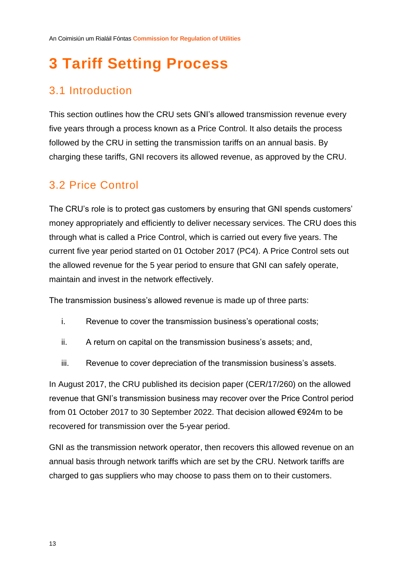## <span id="page-13-0"></span>**3 Tariff Setting Process**

### <span id="page-13-1"></span>3.1 Introduction

This section outlines how the CRU sets GNI's allowed transmission revenue every five years through a process known as a Price Control. It also details the process followed by the CRU in setting the transmission tariffs on an annual basis. By charging these tariffs, GNI recovers its allowed revenue, as approved by the CRU.

### <span id="page-13-2"></span>3.2 Price Control

The CRU's role is to protect gas customers by ensuring that GNI spends customers' money appropriately and efficiently to deliver necessary services. The CRU does this through what is called a Price Control, which is carried out every five years. The current five year period started on 01 October 2017 (PC4). A Price Control sets out the allowed revenue for the 5 year period to ensure that GNI can safely operate, maintain and invest in the network effectively.

The transmission business's allowed revenue is made up of three parts:

- i. Revenue to cover the transmission business's operational costs;
- ii. A return on capital on the transmission business's assets; and,
- iii. Revenue to cover depreciation of the transmission business's assets.

In August 2017, the CRU published its decision paper (CER/17/260) on the allowed revenue that GNI's transmission business may recover over the Price Control period from 01 October 2017 to 30 September 2022. That decision allowed €924m to be recovered for transmission over the 5-year period.

GNI as the transmission network operator, then recovers this allowed revenue on an annual basis through network tariffs which are set by the CRU. Network tariffs are charged to gas suppliers who may choose to pass them on to their customers.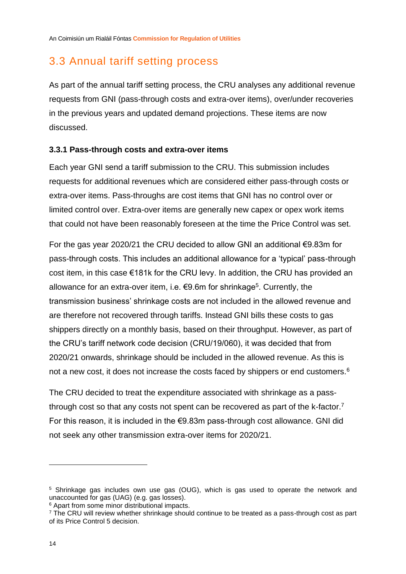### <span id="page-14-2"></span><span id="page-14-0"></span>3.3 Annual tariff setting process

As part of the annual tariff setting process, the CRU analyses any additional revenue requests from GNI (pass-through costs and extra-over items), over/under recoveries in the previous years and updated demand projections. These items are now discussed.

#### <span id="page-14-1"></span>**3.3.1 Pass-through costs and extra-over items**

Each year GNI send a tariff submission to the CRU. This submission includes requests for additional revenues which are considered either pass-through costs or extra-over items. Pass-throughs are cost items that GNI has no control over or limited control over. Extra-over items are generally new capex or opex work items that could not have been reasonably foreseen at the time the Price Control was set.

For the gas year 2020/21 the CRU decided to allow GNI an additional €9.83m for pass-through costs. This includes an additional allowance for a 'typical' pass-through cost item, in this case €181k for the CRU levy. In addition, the CRU has provided an allowance for an extra-over item, i.e. €9.6m for shrinkage<sup>5</sup>. Currently, the transmission business' shrinkage costs are not included in the allowed revenue and are therefore not recovered through tariffs. Instead GNI bills these costs to gas shippers directly on a monthly basis, based on their throughput. However, as part of the CRU's tariff network code decision (CRU/19/060), it was decided that from 2020/21 onwards, shrinkage should be included in the allowed revenue. As this is not a new cost, it does not increase the costs faced by shippers or end customers.<sup>6</sup>

The CRU decided to treat the expenditure associated with shrinkage as a passthrough cost so that any costs not spent can be recovered as part of the k-factor.<sup>7</sup> For this reason, it is included in the €9.83m pass-through cost allowance. GNI did not seek any other transmission extra-over items for 2020/21.

<sup>5</sup> Shrinkage gas includes own use gas (OUG), which is gas used to operate the network and unaccounted for gas (UAG) (e.g. gas losses).

<sup>6</sup> Apart from some minor distributional impacts.

 $7$  The CRU will review whether shrinkage should continue to be treated as a pass-through cost as part of its Price Control 5 decision.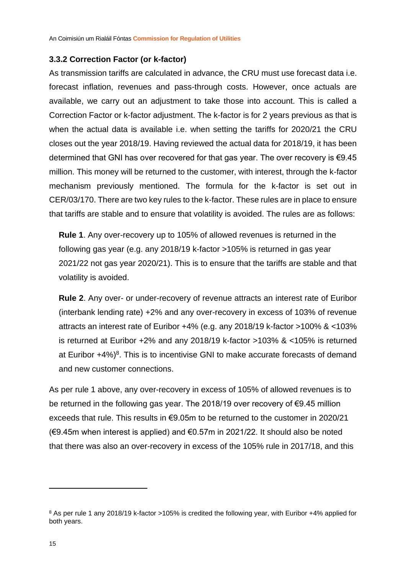#### <span id="page-15-1"></span><span id="page-15-0"></span>**3.3.2 Correction Factor (or k-factor)**

As transmission tariffs are calculated in advance, the CRU must use forecast data i.e. forecast inflation, revenues and pass-through costs. However, once actuals are available, we carry out an adjustment to take those into account. This is called a Correction Factor or k-factor adjustment. The k-factor is for 2 years previous as that is when the actual data is available i.e. when setting the tariffs for 2020/21 the CRU closes out the year 2018/19. Having reviewed the actual data for 2018/19, it has been determined that GNI has over recovered for that gas year. The over recovery is €9.45 million. This money will be returned to the customer, with interest, through the k-factor mechanism previously mentioned. The formula for the k-factor is set out in CER/03/170. There are two key rules to the k-factor. These rules are in place to ensure that tariffs are stable and to ensure that volatility is avoided. The rules are as follows:

**Rule 1**. Any over-recovery up to 105% of allowed revenues is returned in the following gas year (e.g. any 2018/19 k-factor >105% is returned in gas year 2021/22 not gas year 2020/21). This is to ensure that the tariffs are stable and that volatility is avoided.

**Rule 2**. Any over- or under-recovery of revenue attracts an interest rate of Euribor (interbank lending rate) +2% and any over-recovery in excess of 103% of revenue attracts an interest rate of Euribor +4% (e.g. any 2018/19 k-factor >100% & <103% is returned at Euribor +2% and any 2018/19 k-factor >103% & <105% is returned at Euribor  $+4\%$ <sup>8</sup>. This is to incentivise GNI to make accurate forecasts of demand and new customer connections.

As per rule 1 above, any over-recovery in excess of 105% of allowed revenues is to be returned in the following gas year. The 2018/19 over recovery of €9.45 million exceeds that rule. This results in €9.05m to be returned to the customer in 2020/21 (€9.45m when interest is applied) and €0.57m in 2021/22. It should also be noted that there was also an over-recovery in excess of the 105% rule in 2017/18, and this

<sup>8</sup> As per rule 1 any 2018/19 k-factor >105% is credited the following year, with Euribor +4% applied for both years.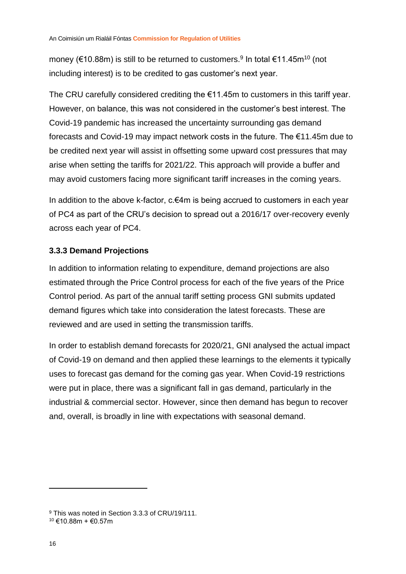money (€10.88m) is still to be returned to customers.<sup>9</sup> In total €11.45m<sup>10</sup> (not including interest) is to be credited to gas customer's next year.

The CRU carefully considered crediting the €11.45m to customers in this tariff year. However, on balance, this was not considered in the customer's best interest. The Covid-19 pandemic has increased the uncertainty surrounding gas demand forecasts and Covid-19 may impact network costs in the future. The €11.45m due to be credited next year will assist in offsetting some upward cost pressures that may arise when setting the tariffs for 2021/22. This approach will provide a buffer and may avoid customers facing more significant tariff increases in the coming years.

In addition to the above k-factor, c.€4m is being accrued to customers in each year of PC4 as part of the CRU's decision to spread out a 2016/17 over-recovery evenly across each year of PC4.

#### <span id="page-16-0"></span>**3.3.3 Demand Projections**

In addition to information relating to expenditure, demand projections are also estimated through the Price Control process for each of the five years of the Price Control period. As part of the annual tariff setting process GNI submits updated demand figures which take into consideration the latest forecasts. These are reviewed and are used in setting the transmission tariffs.

In order to establish demand forecasts for 2020/21, GNI analysed the actual impact of Covid-19 on demand and then applied these learnings to the elements it typically uses to forecast gas demand for the coming gas year. When Covid-19 restrictions were put in place, there was a significant fall in gas demand, particularly in the industrial & commercial sector. However, since then demand has begun to recover and, overall, is broadly in line with expectations with seasonal demand.

<sup>&</sup>lt;sup>9</sup> This was noted in Section 3.3.3 of CRU/19/111.  $10 \notin 10.88$ m + €0.57m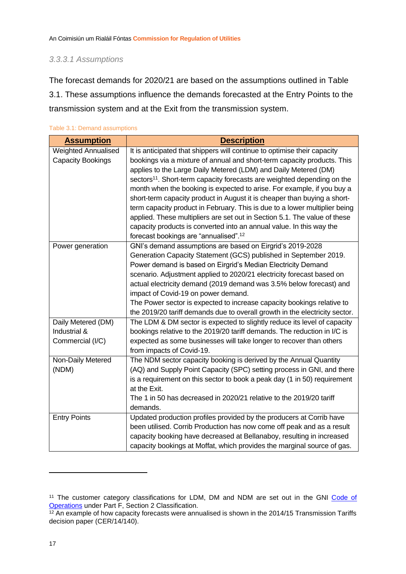#### <span id="page-17-1"></span>*3.3.3.1 Assumptions*

The forecast demands for 2020/21 are based on the assumptions outlined in Table 3.1. These assumptions influence the demands forecasted at the Entry Points to the transmission system and at the Exit from the transmission system.

| <b>Assumption</b>          | <b>Description</b>                                                                  |
|----------------------------|-------------------------------------------------------------------------------------|
| <b>Weighted Annualised</b> | It is anticipated that shippers will continue to optimise their capacity            |
| <b>Capacity Bookings</b>   | bookings via a mixture of annual and short-term capacity products. This             |
|                            | applies to the Large Daily Metered (LDM) and Daily Metered (DM)                     |
|                            | sectors <sup>11</sup> . Short-term capacity forecasts are weighted depending on the |
|                            | month when the booking is expected to arise. For example, if you buy a              |
|                            | short-term capacity product in August it is cheaper than buying a short-            |
|                            | term capacity product in February. This is due to a lower multiplier being          |
|                            | applied. These multipliers are set out in Section 5.1. The value of these           |
|                            | capacity products is converted into an annual value. In this way the                |
|                            | forecast bookings are "annualised". <sup>12</sup>                                   |
| Power generation           | GNI's demand assumptions are based on Eirgrid's 2019-2028                           |
|                            | Generation Capacity Statement (GCS) published in September 2019.                    |
|                            | Power demand is based on Eirgrid's Median Electricity Demand                        |
|                            | scenario. Adjustment applied to 2020/21 electricity forecast based on               |
|                            | actual electricity demand (2019 demand was 3.5% below forecast) and                 |
|                            | impact of Covid-19 on power demand.                                                 |
|                            | The Power sector is expected to increase capacity bookings relative to              |
|                            | the 2019/20 tariff demands due to overall growth in the electricity sector.         |
| Daily Metered (DM)         | The LDM & DM sector is expected to slightly reduce its level of capacity            |
| Industrial &               | bookings relative to the 2019/20 tariff demands. The reduction in I/C is            |
| Commercial (I/C)           | expected as some businesses will take longer to recover than others                 |
|                            | from impacts of Covid-19.                                                           |
| Non-Daily Metered          | The NDM sector capacity booking is derived by the Annual Quantity                   |
| (NDM)                      | (AQ) and Supply Point Capacity (SPC) setting process in GNI, and there              |
|                            | is a requirement on this sector to book a peak day (1 in 50) requirement            |
|                            | at the Exit.                                                                        |
|                            | The 1 in 50 has decreased in 2020/21 relative to the 2019/20 tariff                 |
|                            | demands.                                                                            |
| <b>Entry Points</b>        | Updated production profiles provided by the producers at Corrib have                |
|                            | been utilised. Corrib Production has now come off peak and as a result              |
|                            | capacity booking have decreased at Bellanaboy, resulting in increased               |
|                            | capacity bookings at Moffat, which provides the marginal source of gas.             |

<span id="page-17-0"></span>Table 3.1: Demand assumptions

<sup>&</sup>lt;sup>11</sup> The customer category classifications for LDM, DM and NDM are set out in the GNI Code of **[Operations](https://www.gasnetworks.ie/corporate/gas-regulation/service-for-suppliers/code-of-operations/Gas-Networks-Ireland-Consolidated-Code-of-Operations-V5.02-April-2018.pdf) under Part F, Section 2 Classification.** 

 $12$  An example of how capacity forecasts were annualised is shown in the 2014/15 Transmission Tariffs decision paper [\(CER/14/140\)](https://www.cru.ie/wp-content/uploads/2014/07/CER14140-Decision-on-BGN-Allowed-Revenies-and-Gas-Transmission-Tariffs-for-2014-15.pdf).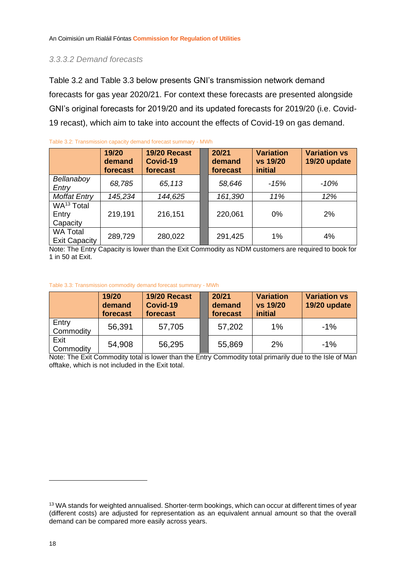#### *3.3.3.2 Demand forecasts*

[Table 3.2](#page-18-0) and [Table 3.3](#page-18-1) below presents GNI's transmission network demand forecasts for gas year 2020/21. For context these forecasts are presented alongside GNI's original forecasts for 2019/20 and its updated forecasts for 2019/20 (i.e. Covid-19 recast), which aim to take into account the effects of Covid-19 on gas demand.

|                                             | 19/20<br>demand<br>forecast | 19/20 Recast<br>Covid-19<br>forecast | 20/21<br>demand<br>forecast | <b>Variation</b><br>vs 19/20<br><b>initial</b> | <b>Variation vs</b><br>19/20 update |
|---------------------------------------------|-----------------------------|--------------------------------------|-----------------------------|------------------------------------------------|-------------------------------------|
| Bellanaboy<br>Entry                         | 68,785                      | 65,113                               | 58,646                      | $-15%$                                         | $-10%$                              |
| <b>Moffat Entry</b>                         | 145,234                     | 144,625                              | 161,390                     | 11%                                            | 12%                                 |
| WA <sup>13</sup> Total<br>Entry<br>Capacity | 219,191                     | 216,151                              | 220,061                     | 0%                                             | 2%                                  |
| <b>WA Total</b><br><b>Exit Capacity</b>     | 289,729                     | 280,022                              | 291,425                     | 1%                                             | 4%                                  |

Note: The Entry Capacity is lower than the Exit Commodity as NDM customers are required to book for 1 in 50 at Exit.

#### <span id="page-18-1"></span>Table 3.3: Transmission commodity demand forecast summary - MWh

<span id="page-18-0"></span>Table 3.2: Transmission capacity demand forecast summary - MWh

|                    | 19/20<br>demand<br>forecast | 19/20 Recast<br>Covid-19<br>forecast | 20/21<br>demand<br>forecast | <b>Variation</b><br>vs 19/20<br><i>initial</i> | <b>Variation vs</b><br>19/20 update |
|--------------------|-----------------------------|--------------------------------------|-----------------------------|------------------------------------------------|-------------------------------------|
| Entry<br>Commodity | 56,391                      | 57,705                               | 57,202                      | 1%                                             | $-1\%$                              |
| Exit<br>Commodity  | 54,908                      | 56,295                               | 55,869                      | 2%                                             | $-1%$                               |

Note: The Exit Commodity total is lower than the Entry Commodity total primarily due to the Isle of Man offtake, which is not included in the Exit total.

<sup>13</sup> WA stands for weighted annualised. Shorter-term bookings, which can occur at different times of year (different costs) are adjusted for representation as an equivalent annual amount so that the overall demand can be compared more easily across years.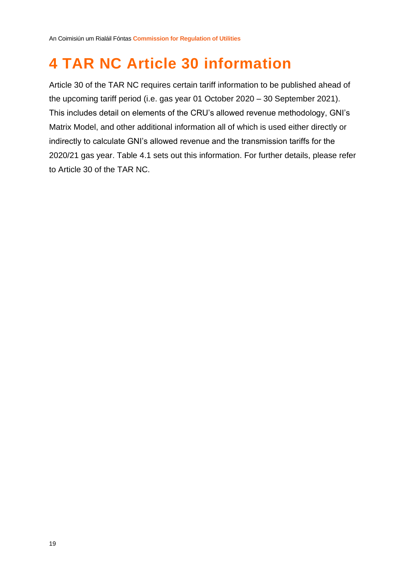## <span id="page-19-0"></span>**4 TAR NC Article 30 information**

Article 30 of the TAR NC requires certain tariff information to be published ahead of the upcoming tariff period (i.e. gas year 01 October 2020 – 30 September 2021). This includes detail on elements of the CRU's allowed revenue methodology, GNI's Matrix Model, and other additional information all of which is used either directly or indirectly to calculate GNI's allowed revenue and the transmission tariffs for the 2020/21 gas year. [Table 4.1](#page-20-0) sets out this information. For further details, please refer to Article 30 of the TAR NC.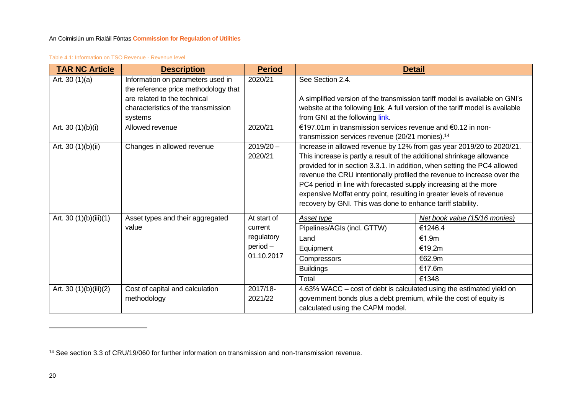#### Table 4.1: Information on TSO Revenue - Revenue level

| <b>TAR NC Article</b>  | <b>Description</b>                                                        | <b>Period</b> |                                                                                | <b>Detail</b>                 |  |  |  |
|------------------------|---------------------------------------------------------------------------|---------------|--------------------------------------------------------------------------------|-------------------------------|--|--|--|
| Art. 30 $(1)(a)$       | Information on parameters used in<br>the reference price methodology that | 2020/21       | See Section 2.4.                                                               |                               |  |  |  |
|                        | are related to the technical                                              |               | A simplified version of the transmission tariff model is available on GNI's    |                               |  |  |  |
|                        | characteristics of the transmission                                       |               | website at the following link. A full version of the tariff model is available |                               |  |  |  |
|                        | systems                                                                   |               | from GNI at the following link.                                                |                               |  |  |  |
| Art. 30 $(1)(b)(i)$    | Allowed revenue                                                           | 2020/21       | €197.01m in transmission services revenue and €0.12 in non-                    |                               |  |  |  |
|                        |                                                                           |               | transmission services revenue (20/21 monies). <sup>14</sup>                    |                               |  |  |  |
| Art. 30 (1)(b)(ii)     | Changes in allowed revenue                                                | $2019/20 -$   | Increase in allowed revenue by 12% from gas year 2019/20 to 2020/21.           |                               |  |  |  |
|                        |                                                                           | 2020/21       | This increase is partly a result of the additional shrinkage allowance         |                               |  |  |  |
|                        |                                                                           |               | provided for in section 3.3.1. In addition, when setting the PC4 allowed       |                               |  |  |  |
|                        |                                                                           |               | revenue the CRU intentionally profiled the revenue to increase over the        |                               |  |  |  |
|                        |                                                                           |               | PC4 period in line with forecasted supply increasing at the more               |                               |  |  |  |
|                        |                                                                           |               | expensive Moffat entry point, resulting in greater levels of revenue           |                               |  |  |  |
|                        |                                                                           |               | recovery by GNI. This was done to enhance tariff stability.                    |                               |  |  |  |
| Art. 30 (1)(b)(iii)(1) | Asset types and their aggregated                                          | At start of   | Asset type                                                                     | Net book value (15/16 monies) |  |  |  |
|                        | value                                                                     | current       | Pipelines/AGIs (incl. GTTW)                                                    | €1246.4                       |  |  |  |
|                        |                                                                           | regulatory    | Land                                                                           | €1.9m                         |  |  |  |
|                        |                                                                           | period-       | Equipment                                                                      | €19.2m                        |  |  |  |
|                        |                                                                           | 01.10.2017    | Compressors                                                                    | €62.9m                        |  |  |  |
|                        |                                                                           |               | <b>Buildings</b>                                                               | €17.6m                        |  |  |  |
|                        |                                                                           |               | Total                                                                          | €1348                         |  |  |  |
| Art. 30 (1)(b)(iii)(2) | Cost of capital and calculation                                           | 2017/18-      | 4.63% WACC – cost of debt is calculated using the estimated yield on           |                               |  |  |  |
|                        | methodology                                                               | 2021/22       | government bonds plus a debt premium, while the cost of equity is              |                               |  |  |  |
|                        |                                                                           |               | calculated using the CAPM model.                                               |                               |  |  |  |

<span id="page-20-0"></span><sup>14</sup> See section 3.3 of CRU/19/060 for further information on transmission and non-transmission revenue.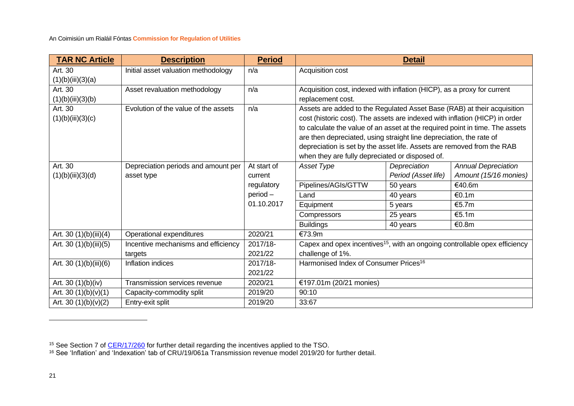| <b>TAR NC Article</b>  | <b>Description</b>                   | <b>Period</b> |                                                                                        | <b>Detail</b> |                            |  |  |  |  |
|------------------------|--------------------------------------|---------------|----------------------------------------------------------------------------------------|---------------|----------------------------|--|--|--|--|
| Art. 30                | Initial asset valuation methodology  | n/a           | Acquisition cost                                                                       |               |                            |  |  |  |  |
| (1)(b)(iii)(3)(a)      |                                      |               |                                                                                        |               |                            |  |  |  |  |
| Art. 30                | Asset revaluation methodology        | n/a           | Acquisition cost, indexed with inflation (HICP), as a proxy for current                |               |                            |  |  |  |  |
| (1)(b)(iii)(3)(b)      |                                      |               | replacement cost.                                                                      |               |                            |  |  |  |  |
| Art. 30                | Evolution of the value of the assets | n/a           | Assets are added to the Regulated Asset Base (RAB) at their acquisition                |               |                            |  |  |  |  |
| (1)(b)(iii)(3)(c)      |                                      |               | cost (historic cost). The assets are indexed with inflation (HICP) in order            |               |                            |  |  |  |  |
|                        |                                      |               | to calculate the value of an asset at the required point in time. The assets           |               |                            |  |  |  |  |
|                        |                                      |               | are then depreciated, using straight line depreciation, the rate of                    |               |                            |  |  |  |  |
|                        |                                      |               | depreciation is set by the asset life. Assets are removed from the RAB                 |               |                            |  |  |  |  |
|                        |                                      |               | when they are fully depreciated or disposed of.                                        |               |                            |  |  |  |  |
| Art. 30                | Depreciation periods and amount per  | At start of   | Asset Type                                                                             | Depreciation  | <b>Annual Depreciation</b> |  |  |  |  |
| (1)(b)(iii)(3)(d)      | asset type                           | current       | Period (Asset life)                                                                    |               | Amount (15/16 monies)      |  |  |  |  |
|                        |                                      | regulatory    | Pipelines/AGIs/GTTW<br>50 years                                                        |               | €40.6m                     |  |  |  |  |
|                        |                                      | $period -$    | Land<br>€0.1m<br>40 years                                                              |               |                            |  |  |  |  |
|                        |                                      | 01.10.2017    | €5.7m<br>5 years<br>Equipment                                                          |               |                            |  |  |  |  |
|                        |                                      |               | Compressors                                                                            | 25 years      | €5.1m                      |  |  |  |  |
|                        |                                      |               | <b>Buildings</b>                                                                       | 40 years      | €0.8m                      |  |  |  |  |
| Art. 30 (1)(b)(iii)(4) | Operational expenditures             | 2020/21       | €73.9m                                                                                 |               |                            |  |  |  |  |
| Art. 30 (1)(b)(iii)(5) | Incentive mechanisms and efficiency  | 2017/18-      | Capex and opex incentives <sup>15</sup> , with an ongoing controllable opex efficiency |               |                            |  |  |  |  |
|                        | targets                              | 2021/22       | challenge of 1%.                                                                       |               |                            |  |  |  |  |
| Art. 30 (1)(b)(iii)(6) | Inflation indices                    | 2017/18-      | Harmonised Index of Consumer Prices <sup>16</sup>                                      |               |                            |  |  |  |  |
|                        |                                      | 2021/22       |                                                                                        |               |                            |  |  |  |  |
| Art. 30 (1)(b)(iv)     | Transmission services revenue        | 2020/21       | €197.01m (20/21 monies)                                                                |               |                            |  |  |  |  |
| Art. 30 $(1)(b)(v)(1)$ | Capacity-commodity split             | 2019/20       | 90:10                                                                                  |               |                            |  |  |  |  |
| Art. 30 $(1)(b)(v)(2)$ | Entry-exit split                     | 2019/20       | 33:67                                                                                  |               |                            |  |  |  |  |

<sup>&</sup>lt;sup>15</sup> See Section 7 of [CER/17/260](https://www.cru.ie/wp-content/uploads/2017/06/CER17260-PC4-CER-Transmission-Decision-Paper.pdf) for further detail regarding the incentives applied to the TSO.

<sup>16</sup> See 'Inflation' and 'Indexation' tab of CRU/19/061a Transmission revenue model 2019/20 for further detail.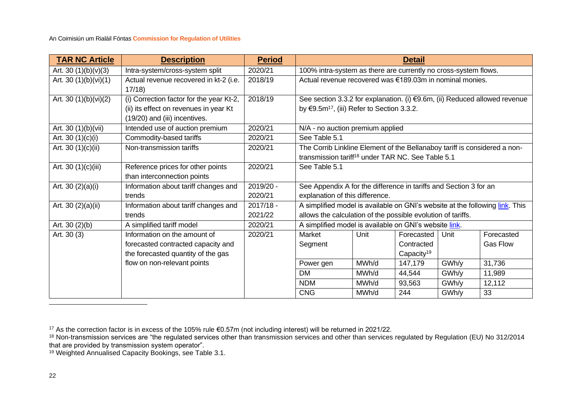| <b>TAR NC Article</b>   | <b>Description</b>                       | <b>Period</b> |                                                                              |       | <b>Detail</b>          |       |                 |  |  |
|-------------------------|------------------------------------------|---------------|------------------------------------------------------------------------------|-------|------------------------|-------|-----------------|--|--|
| Art. 30 $(1)(b)(v)(3)$  | Intra-system/cross-system split          | 2020/21       | 100% intra-system as there are currently no cross-system flows.              |       |                        |       |                 |  |  |
| Art. 30 $(1)(b)(vi)(1)$ | Actual revenue recovered in kt-2 (i.e.   | 2018/19       | Actual revenue recovered was €189.03m in nominal monies.                     |       |                        |       |                 |  |  |
|                         | 17/18                                    |               |                                                                              |       |                        |       |                 |  |  |
| Art. 30 (1)(b)(vi)(2)   | (i) Correction factor for the year Kt-2, | 2018/19       | See section 3.3.2 for explanation. (i) €9.6m, (ii) Reduced allowed revenue   |       |                        |       |                 |  |  |
|                         | (ii) its effect on revenues in year Kt   |               | by €9.5m <sup>17</sup> , (iii) Refer to Section 3.3.2.                       |       |                        |       |                 |  |  |
|                         | (19/20) and (iii) incentives.            |               |                                                                              |       |                        |       |                 |  |  |
| Art. 30 (1)(b)(vii)     | Intended use of auction premium          | 2020/21       | N/A - no auction premium applied                                             |       |                        |       |                 |  |  |
| Art. 30 $(1)(c)(i)$     | Commodity-based tariffs                  | 2020/21       | See Table 5.1                                                                |       |                        |       |                 |  |  |
| Art. 30 $(1)(c)(ii)$    | Non-transmission tariffs                 | 2020/21       | The Corrib Linkline Element of the Bellanaboy tariff is considered a non-    |       |                        |       |                 |  |  |
|                         |                                          |               | transmission tariff <sup>18</sup> under TAR NC. See Table 5.1                |       |                        |       |                 |  |  |
| Art. 30 (1)(c)(iii)     | Reference prices for other points        | 2020/21       | See Table 5.1                                                                |       |                        |       |                 |  |  |
|                         | than interconnection points              |               |                                                                              |       |                        |       |                 |  |  |
| Art. 30 $(2)(a)(i)$     | Information about tariff changes and     | 2019/20 -     | See Appendix A for the difference in tariffs and Section 3 for an            |       |                        |       |                 |  |  |
|                         | trends                                   | 2020/21       | explanation of this difference.                                              |       |                        |       |                 |  |  |
| Art. 30 $(2)(a)(ii)$    | Information about tariff changes and     | $2017/18 -$   | A simplified model is available on GNI's website at the following link. This |       |                        |       |                 |  |  |
|                         | trends                                   | 2021/22       | allows the calculation of the possible evolution of tariffs.                 |       |                        |       |                 |  |  |
| Art. $30(2)(b)$         | A simplified tariff model                | 2020/21       | A simplified model is available on GNI's website link.                       |       |                        |       |                 |  |  |
| Art. 30 (3)             | Information on the amount of             | 2020/21       | Market                                                                       | Unit  | Forecasted             | Unit  | Forecasted      |  |  |
|                         | forecasted contracted capacity and       |               | Segment                                                                      |       | Contracted             |       | <b>Gas Flow</b> |  |  |
|                         | the forecasted quantity of the gas       |               |                                                                              |       | Capacity <sup>19</sup> |       |                 |  |  |
|                         | flow on non-relevant points              |               | Power gen                                                                    | MWh/d | 147,179                | GWh/y | 31,736          |  |  |
|                         |                                          |               | <b>DM</b>                                                                    | MWh/d | 44,544                 | GWh/y | 11,989          |  |  |
|                         |                                          |               | <b>NDM</b>                                                                   | MWh/d | 93,563                 | GWh/y | 12,112          |  |  |
|                         |                                          |               | <b>CNG</b>                                                                   | MWh/d | 244                    | GWh/y | 33              |  |  |

<sup>17</sup> As the correction factor is in excess of the 105% rule €0.57m (not including interest) will be returned in 2021/22.

<sup>&</sup>lt;sup>18</sup> Non-transmission services are "the regulated services other than transmission services and other than services regulated by Regulation (EU) No 312/2014 that are provided by transmission system operator".

<sup>&</sup>lt;sup>19</sup> Weighted Annualised Capacity Bookings, see [Table 3.1.](#page-17-1)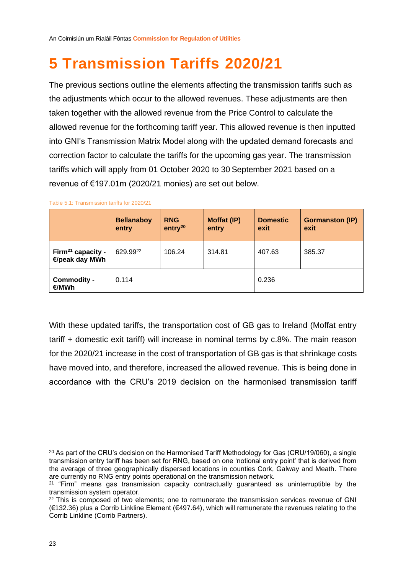## <span id="page-23-1"></span><span id="page-23-0"></span>**5 Transmission Tariffs 2020/21**

The previous sections outline the elements affecting the transmission tariffs such as the adjustments which occur to the allowed revenues. These adjustments are then taken together with the allowed revenue from the Price Control to calculate the allowed revenue for the forthcoming tariff year. This allowed revenue is then inputted into GNI's Transmission Matrix Model along with the updated demand forecasts and correction factor to calculate the tariffs for the upcoming gas year. The transmission tariffs which will apply from 01 October 2020 to 30 September 2021 based on a revenue of €197.01m (2020/21 monies) are set out below.

|                                                 | <b>Bellanaboy</b><br>entry | <b>RNG</b><br>entry <sup>20</sup> | Moffat (IP)<br>entry | <b>Domestic</b><br>exit | <b>Gormanston (IP)</b><br>exit |
|-------------------------------------------------|----------------------------|-----------------------------------|----------------------|-------------------------|--------------------------------|
| Firm <sup>21</sup> capacity -<br>€/peak day MWh | 629.9922                   | 106.24                            | 314.81               | 407.63                  | 385.37                         |
| Commodity -<br>€/MWh                            | 0.114                      |                                   |                      | 0.236                   |                                |

Table 5.1: Transmission tariffs for 2020/21

With these updated tariffs, the transportation cost of GB gas to Ireland (Moffat entry tariff + domestic exit tariff) will increase in nominal terms by c.8%. The main reason for the 2020/21 increase in the cost of transportation of GB gas is that shrinkage costs have moved into, and therefore, increased the allowed revenue. This is being done in accordance with the CRU's 2019 decision on the harmonised transmission tariff

<sup>&</sup>lt;sup>20</sup> As part of the CRU's decision on the Harmonised Tariff Methodology for Gas (CRU/19/060), a single transmission entry tariff has been set for RNG, based on one 'notional entry point' that is derived from the average of three geographically dispersed locations in counties Cork, Galway and Meath. There are currently no RNG entry points operational on the transmission network.

 $21$  "Firm" means gas transmission capacity contractually quaranteed as uninterruptible by the transmission system operator.

<sup>&</sup>lt;sup>22</sup> This is composed of two elements; one to remunerate the transmission services revenue of GNI (€132.36) plus a Corrib Linkline Element (€497.64), which will remunerate the revenues relating to the Corrib Linkline (Corrib Partners).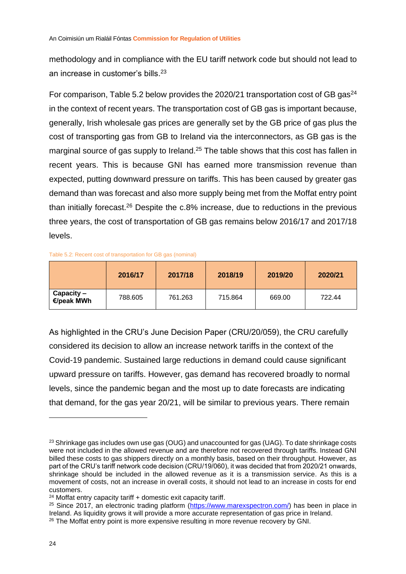methodology and in compliance with the EU tariff network code but should not lead to an increase in customer's bills. 23

For comparison, [Table 5.2](#page-24-0) below provides the 2020/21 transportation cost of GB gas<sup>24</sup> in the context of recent years. The transportation cost of GB gas is important because, generally, Irish wholesale gas prices are generally set by the GB price of gas plus the cost of transporting gas from GB to Ireland via the interconnectors, as GB gas is the marginal source of gas supply to Ireland.<sup>25</sup> The table shows that this cost has fallen in recent years. This is because GNI has earned more transmission revenue than expected, putting downward pressure on tariffs. This has been caused by greater gas demand than was forecast and also more supply being met from the Moffat entry point than initially forecast.<sup>26</sup> Despite the  $c.8\%$  increase, due to reductions in the previous three years, the cost of transportation of GB gas remains below 2016/17 and 2017/18 levels.

#### <span id="page-24-0"></span>Table 5.2: Recent cost of transportation for GB gas (nominal)

|                          | 2016/17 | 2017/18 | 2018/19 | 2019/20 | 2020/21 |
|--------------------------|---------|---------|---------|---------|---------|
| Capacity –<br>€/peak MWh | 788.605 | 761.263 | 715.864 | 669.00  | 722.44  |

As highlighted in the CRU's June Decision Paper (CRU/20/059), the CRU carefully considered its decision to allow an increase network tariffs in the context of the Covid-19 pandemic. Sustained large reductions in demand could cause significant upward pressure on tariffs. However, gas demand has recovered broadly to normal levels, since the pandemic began and the most up to date forecasts are indicating that demand, for the gas year 20/21, will be similar to previous years. There remain

<sup>&</sup>lt;sup>23</sup> Shrinkage gas includes own use gas (OUG) and unaccounted for gas (UAG). To date shrinkage costs were not included in the allowed revenue and are therefore not recovered through tariffs. Instead GNI billed these costs to gas shippers directly on a monthly basis, based on their throughput. However, as part of the CRU's tariff network code decision (CRU/19/060), it was decided that from 2020/21 onwards, shrinkage should be included in the allowed revenue as it is a transmission service. As this is a movement of costs, not an increase in overall costs, it should not lead to an increase in costs for end customers.

<sup>24</sup> Moffat entry capacity tariff + domestic exit capacity tariff.

<sup>&</sup>lt;sup>25</sup> Since 2017, an electronic trading platform [\(https://www.marexspectron.com/\)](https://www.marexspectron.com/) has been in place in Ireland. As liquidity grows it will provide a more accurate representation of gas price in Ireland. <sup>26</sup> The Moffat entry point is more expensive resulting in more revenue recovery by GNI.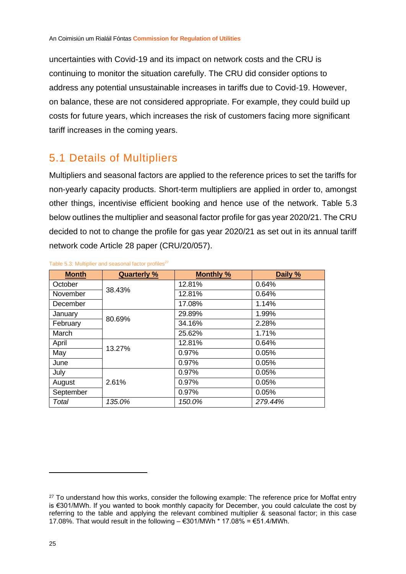uncertainties with Covid-19 and its impact on network costs and the CRU is continuing to monitor the situation carefully. The CRU did consider options to address any potential unsustainable increases in tariffs due to Covid-19. However, on balance, these are not considered appropriate. For example, they could build up costs for future years, which increases the risk of customers facing more significant tariff increases in the coming years.

#### <span id="page-25-0"></span>5.1 Details of Multipliers

Multipliers and seasonal factors are applied to the reference prices to set the tariffs for non-yearly capacity products. Short-term multipliers are applied in order to, amongst other things, incentivise efficient booking and hence use of the network. [Table 5.3](#page-25-1) below outlines the multiplier and seasonal factor profile for gas year 2020/21. The CRU decided to not to change the profile for gas year 2020/21 as set out in its annual tariff network code Article 28 paper (CRU/20/057).

| <b>Month</b> | <b>Quarterly %</b> | <b>Monthly %</b> | Daily % |
|--------------|--------------------|------------------|---------|
| October      | 38.43%             | 12.81%           | 0.64%   |
| November     |                    | 12.81%           | 0.64%   |
| December     |                    | 17.08%           | 1.14%   |
| January      |                    | 29.89%           | 1.99%   |
| February     | 80.69%             | 34.16%           | 2.28%   |
| March        |                    | 25.62%           | 1.71%   |
| April        |                    | 12.81%           | 0.64%   |
| May          | 13.27%             | 0.97%            | 0.05%   |
| June         |                    | 0.97%            | 0.05%   |
| July         |                    | 0.97%            | 0.05%   |
| August       | 2.61%              | 0.97%            | 0.05%   |
| September    |                    | 0.97%            | 0.05%   |
| Total        | 135.0%             | 150.0%           | 279.44% |

#### <span id="page-25-1"></span>Table 5.3: Multiplier and seasonal factor profiles<sup>27</sup>

<sup>&</sup>lt;sup>27</sup> To understand how this works, consider the following example: The reference price for Moffat entry is €301/MWh. If you wanted to book monthly capacity for December, you could calculate the cost by referring to the table and applying the relevant combined multiplier & seasonal factor; in this case 17.08%. That would result in the following  $-$  €301/MWh  $*$  17.08% = €51.4/MWh.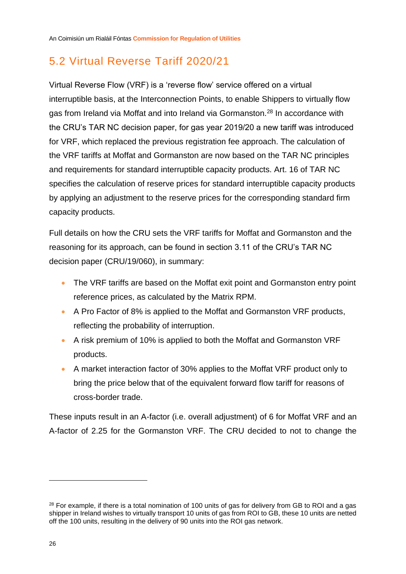### <span id="page-26-0"></span>5.2 Virtual Reverse Tariff 2020/21

Virtual Reverse Flow (VRF) is a 'reverse flow' service offered on a virtual interruptible basis, at the Interconnection Points, to enable Shippers to virtually flow gas from Ireland via Moffat and into Ireland via Gormanston.<sup>28</sup> In accordance with the CRU's TAR NC decision paper, for gas year 2019/20 a new tariff was introduced for VRF, which replaced the previous registration fee approach. The calculation of the VRF tariffs at Moffat and Gormanston are now based on the TAR NC principles and requirements for standard interruptible capacity products. Art. 16 of TAR NC specifies the calculation of reserve prices for standard interruptible capacity products by applying an adjustment to the reserve prices for the corresponding standard firm capacity products.

Full details on how the CRU sets the VRF tariffs for Moffat and Gormanston and the reasoning for its approach, can be found in section 3.11 of the CRU's TAR NC decision paper (CRU/19/060), in summary:

- The VRF tariffs are based on the Moffat exit point and Gormanston entry point reference prices, as calculated by the Matrix RPM.
- A Pro Factor of 8% is applied to the Moffat and Gormanston VRF products, reflecting the probability of interruption.
- A risk premium of 10% is applied to both the Moffat and Gormanston VRF products.
- A market interaction factor of 30% applies to the Moffat VRF product only to bring the price below that of the equivalent forward flow tariff for reasons of cross-border trade.

These inputs result in an A-factor (i.e. overall adjustment) of 6 for Moffat VRF and an A-factor of 2.25 for the Gormanston VRF. The CRU decided to not to change the

<sup>&</sup>lt;sup>28</sup> For example, if there is a total nomination of 100 units of gas for delivery from GB to ROI and a gas shipper in Ireland wishes to virtually transport 10 units of gas from ROI to GB, these 10 units are netted off the 100 units, resulting in the delivery of 90 units into the ROI gas network.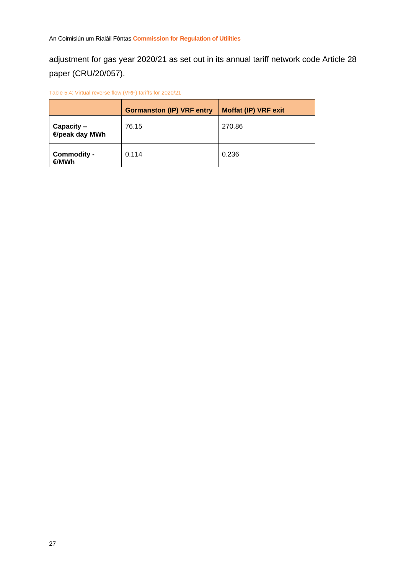adjustment for gas year 2020/21 as set out in its annual tariff network code Article 28 paper (CRU/20/057).

Table 5.4: Virtual reverse flow (VRF) tariffs for 2020/21

|                              | <b>Gormanston (IP) VRF entry</b> | <b>Moffat (IP) VRF exit</b> |
|------------------------------|----------------------------------|-----------------------------|
| Capacity -<br>€/peak day MWh | 76.15                            | 270.86                      |
| <b>Commodity -</b><br>€/MWh  | 0.114                            | 0.236                       |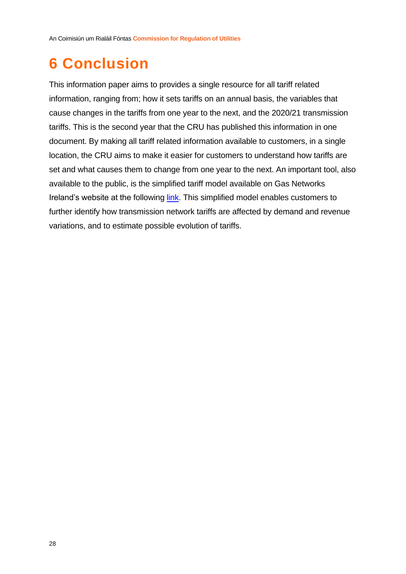## <span id="page-28-0"></span>**6 Conclusion**

This information paper aims to provides a single resource for all tariff related information, ranging from; how it sets tariffs on an annual basis, the variables that cause changes in the tariffs from one year to the next, and the 2020/21 transmission tariffs. This is the second year that the CRU has published this information in one document. By making all tariff related information available to customers, in a single location, the CRU aims to make it easier for customers to understand how tariffs are set and what causes them to change from one year to the next. An important tool, also available to the public, is the simplified tariff model available on Gas Networks Ireland's website at the following [link.](https://www.gasnetworks.ie/corporate/gas-regulation/tariffs/transmission-tariffs/simplified-tariff-model/) This simplified model enables customers to further identify how transmission network tariffs are affected by demand and revenue variations, and to estimate possible evolution of tariffs.